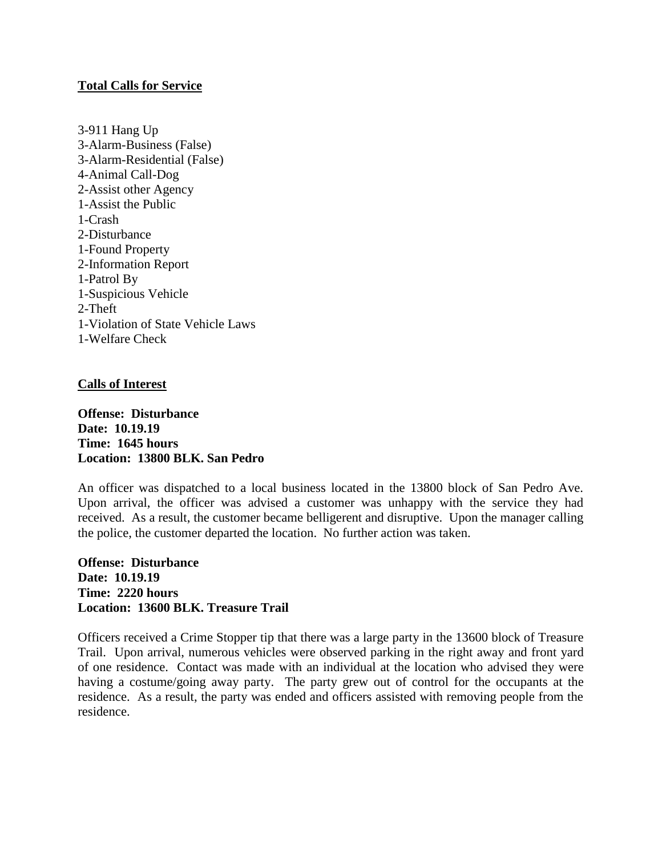## **Total Calls for Service**

3-911 Hang Up 3-Alarm-Business (False) 3-Alarm-Residential (False) 4-Animal Call-Dog 2-Assist other Agency 1-Assist the Public 1-Crash 2-Disturbance 1-Found Property 2-Information Report 1-Patrol By 1-Suspicious Vehicle 2-Theft 1-Violation of State Vehicle Laws 1-Welfare Check

## **Calls of Interest**

**Offense: Disturbance Date: 10.19.19 Time: 1645 hours Location: 13800 BLK. San Pedro**

An officer was dispatched to a local business located in the 13800 block of San Pedro Ave. Upon arrival, the officer was advised a customer was unhappy with the service they had received. As a result, the customer became belligerent and disruptive. Upon the manager calling the police, the customer departed the location. No further action was taken.

**Offense: Disturbance Date: 10.19.19 Time: 2220 hours Location: 13600 BLK. Treasure Trail**

Officers received a Crime Stopper tip that there was a large party in the 13600 block of Treasure Trail. Upon arrival, numerous vehicles were observed parking in the right away and front yard of one residence. Contact was made with an individual at the location who advised they were having a costume/going away party. The party grew out of control for the occupants at the residence. As a result, the party was ended and officers assisted with removing people from the residence.